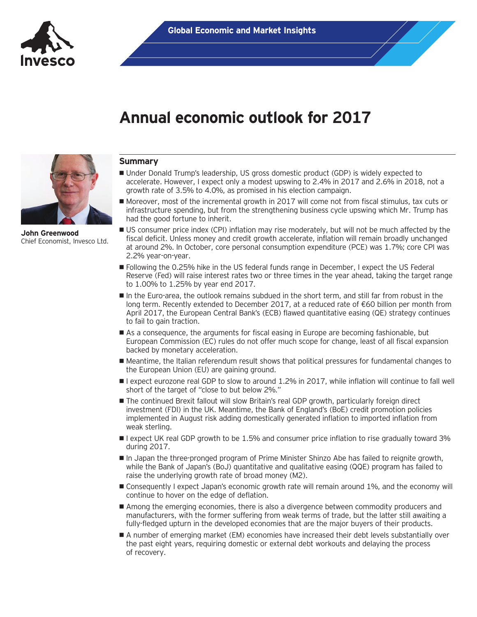

**John Greenwood** Chief Economist, Invesco Ltd.

# **Annual economic outlook for 2017**

# **Summary**

- Under Donald Trump's leadership, US gross domestic product (GDP) is widely expected to accelerate. However, I expect only a modest upswing to 2.4% in 2017 and 2.6% in 2018, not a growth rate of 3.5% to 4.0%, as promised in his election campaign.
- Moreover, most of the incremental growth in 2017 will come not from fiscal stimulus, tax cuts or infrastructure spending, but from the strengthening business cycle upswing which Mr. Trump has had the good fortune to inherit.
- US consumer price index (CPI) inflation may rise moderately, but will not be much affected by the fiscal deficit. Unless money and credit growth accelerate, inflation will remain broadly unchanged at around 2%. In October, core personal consumption expenditure (PCE) was 1.7%; core CPI was 2.2% year-on-year.
- Following the 0.25% hike in the US federal funds range in December, I expect the US Federal Reserve (Fed) will raise interest rates two or three times in the year ahead, taking the target range to 1.00% to 1.25% by year end 2017.
- In the Euro-area, the outlook remains subdued in the short term, and still far from robust in the long term. Recently extended to December 2017, at a reduced rate of €60 billion per month from April 2017, the European Central Bank's (ECB) flawed quantitative easing (QE) strategy continues to fail to gain traction.
- As a consequence, the arguments for fiscal easing in Europe are becoming fashionable, but European Commission (EC) rules do not offer much scope for change, least of all fiscal expansion backed by monetary acceleration.
- Meantime, the Italian referendum result shows that political pressures for fundamental changes to the European Union (EU) are gaining ground.
- I expect eurozone real GDP to slow to around 1.2% in 2017, while inflation will continue to fall well short of the target of "close to but below 2%."
- The continued Brexit fallout will slow Britain's real GDP growth, particularly foreign direct investment (FDI) in the UK. Meantime, the Bank of England's (BoE) credit promotion policies implemented in August risk adding domestically generated inflation to imported inflation from weak sterling.
- **I** expect UK real GDP growth to be 1.5% and consumer price inflation to rise gradually toward 3% during 2017.
- In Japan the three-pronged program of Prime Minister Shinzo Abe has failed to reignite growth, while the Bank of Japan's (BoJ) quantitative and qualitative easing (QQE) program has failed to raise the underlying growth rate of broad money (M2).
- **Consequently I expect Japan's economic growth rate will remain around 1%, and the economy will** continue to hover on the edge of deflation.
- Among the emerging economies, there is also a divergence between commodity producers and manufacturers, with the former suffering from weak terms of trade, but the latter still awaiting a fully-fledged upturn in the developed economies that are the major buyers of their products.
- A number of emerging market (EM) economies have increased their debt levels substantially over the past eight years, requiring domestic or external debt workouts and delaying the process of recovery.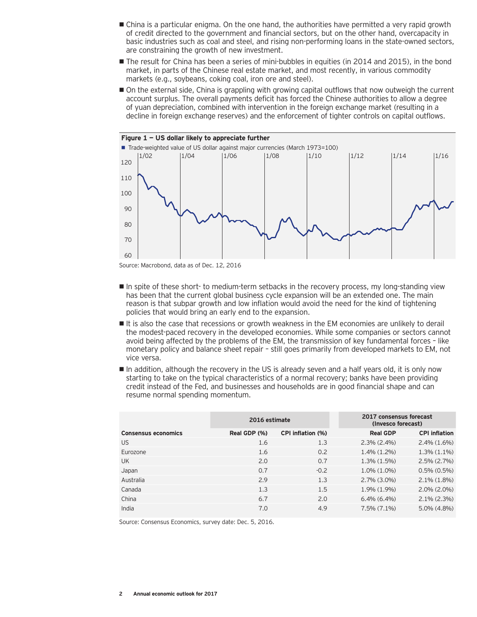- China is a particular enigma. On the one hand, the authorities have permitted a very rapid growth of credit directed to the government and financial sectors, but on the other hand, overcapacity in basic industries such as coal and steel, and rising non-performing loans in the state-owned sectors, are constraining the growth of new investment.
- The result for China has been a series of mini-bubbles in equities (in 2014 and 2015), in the bond market, in parts of the Chinese real estate market, and most recently, in various commodity markets (e.g., soybeans, coking coal, iron ore and steel).
- On the external side, China is grappling with growing capital outflows that now outweigh the current account surplus. The overall payments deficit has forced the Chinese authorities to allow a degree of yuan depreciation, combined with intervention in the foreign exchange market (resulting in a decline in foreign exchange reserves) and the enforcement of tighter controls on capital outflows.



Source: Macrobond, data as of Dec. 12, 2016

- In spite of these short- to medium-term setbacks in the recovery process, my long-standing view has been that the current global business cycle expansion will be an extended one. The main reason is that subpar growth and low inflation would avoid the need for the kind of tightening policies that would bring an early end to the expansion.
- It is also the case that recessions or growth weakness in the EM economies are unlikely to derail the modest-paced recovery in the developed economies. While some companies or sectors cannot avoid being affected by the problems of the EM, the transmission of key fundamental forces – like monetary policy and balance sheet repair – still goes primarily from developed markets to EM, not vice versa.
- In addition, although the recovery in the US is already seven and a half years old, it is only now starting to take on the typical characteristics of a normal recovery; banks have been providing credit instead of the Fed, and businesses and households are in good financial shape and can resume normal spending momentum.

|                            | 2016 estimate |                   | 2017 consensus forecast<br>(Invesco forecast) |                      |
|----------------------------|---------------|-------------------|-----------------------------------------------|----------------------|
| <b>Consensus economics</b> | Real GDP (%)  | CPI inflation (%) | <b>Real GDP</b>                               | <b>CPI inflation</b> |
| <b>US</b>                  | 1.6           | 1.3               | $2.3\%$ (2.4%)                                | $2.4\%$ $(1.6\%)$    |
| Eurozone                   | 1.6           | 0.2               | $1.4\%$ $(1.2\%)$                             | $1.3\%$ $(1.1\%)$    |
| UK                         | 2.0           | 0.7               | $1.3\%$ $(1.5\%)$                             | $2.5\%$ $(2.7\%)$    |
| Japan                      | 0.7           | $-0.2$            | $1.0\%$ $(1.0\%)$                             | $0.5\%$ $(0.5\%)$    |
| Australia                  | 2.9           | 1.3               | $2.7\%$ (3.0%)                                | $2.1\%$ (1.8%)       |
| Canada                     | 1.3           | 1.5               | 1.9% (1.9%)                                   | $2.0\%$ (2.0%)       |
| China                      | 6.7           | 2.0               | $6.4\%$ $(6.4\%)$                             | $2.1\%$ (2.3%)       |
| India                      | 7.0           | 4.9               | $7.5\%$ $(7.1\%)$                             | $5.0\%$ (4.8%)       |

Source: Consensus Economics, survey date: Dec. 5, 2016.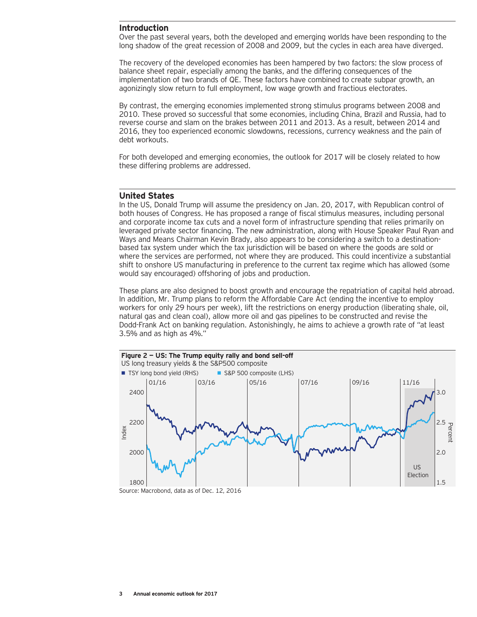### **Introduction**

Over the past several years, both the developed and emerging worlds have been responding to the long shadow of the great recession of 2008 and 2009, but the cycles in each area have diverged.

The recovery of the developed economies has been hampered by two factors: the slow process of balance sheet repair, especially among the banks, and the differing consequences of the implementation of two brands of QE. These factors have combined to create subpar growth, an agonizingly slow return to full employment, low wage growth and fractious electorates.

By contrast, the emerging economies implemented strong stimulus programs between 2008 and 2010. These proved so successful that some economies, including China, Brazil and Russia, had to reverse course and slam on the brakes between 2011 and 2013. As a result, between 2014 and 2016, they too experienced economic slowdowns, recessions, currency weakness and the pain of debt workouts.

For both developed and emerging economies, the outlook for 2017 will be closely related to how these differing problems are addressed.

#### **United States**

In the US, Donald Trump will assume the presidency on Jan. 20, 2017, with Republican control of both houses of Congress. He has proposed a range of fiscal stimulus measures, including personal and corporate income tax cuts and a novel form of infrastructure spending that relies primarily on leveraged private sector financing. The new administration, along with House Speaker Paul Ryan and Ways and Means Chairman Kevin Brady, also appears to be considering a switch to a destinationbased tax system under which the tax jurisdiction will be based on where the goods are sold or where the services are performed, not where they are produced. This could incentivize a substantial shift to onshore US manufacturing in preference to the current tax regime which has allowed (some would say encouraged) offshoring of jobs and production.

These plans are also designed to boost growth and encourage the repatriation of capital held abroad. In addition, Mr. Trump plans to reform the Affordable Care Act (ending the incentive to employ workers for only 29 hours per week), lift the restrictions on energy production (liberating shale, oil, natural gas and clean coal), allow more oil and gas pipelines to be constructed and revise the Dodd-Frank Act on banking regulation. Astonishingly, he aims to achieve a growth rate of "at least 3.5% and as high as 4%."



Source: Macrobond, data as of Dec. 12, 2016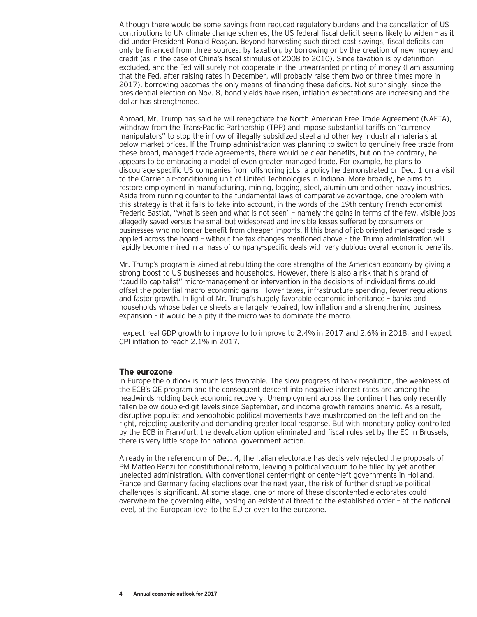Although there would be some savings from reduced regulatory burdens and the cancellation of US contributions to UN climate change schemes, the US federal fiscal deficit seems likely to widen – as it did under President Ronald Reagan. Beyond harvesting such direct cost savings, fiscal deficits can only be financed from three sources: by taxation, by borrowing or by the creation of new money and credit (as in the case of China's fiscal stimulus of 2008 to 2010). Since taxation is by definition excluded, and the Fed will surely not cooperate in the unwarranted printing of money (I am assuming that the Fed, after raising rates in December, will probably raise them two or three times more in 2017), borrowing becomes the only means of financing these deficits. Not surprisingly, since the presidential election on Nov. 8, bond yields have risen, inflation expectations are increasing and the dollar has strengthened.

Abroad, Mr. Trump has said he will renegotiate the North American Free Trade Agreement (NAFTA), withdraw from the Trans-Pacific Partnership (TPP) and impose substantial tariffs on "currency manipulators" to stop the inflow of illegally subsidized steel and other key industrial materials at below-market prices. If the Trump administration was planning to switch to genuinely free trade from these broad, managed trade agreements, there would be clear benefits, but on the contrary, he appears to be embracing a model of even greater managed trade. For example, he plans to discourage specific US companies from offshoring jobs, a policy he demonstrated on Dec. 1 on a visit to the Carrier air-conditioning unit of United Technologies in Indiana. More broadly, he aims to restore employment in manufacturing, mining, logging, steel, aluminium and other heavy industries. Aside from running counter to the fundamental laws of comparative advantage, one problem with this strategy is that it fails to take into account, in the words of the 19th century French economist Frederic Bastiat, "what is seen and what is not seen" – namely the gains in terms of the few, visible jobs allegedly saved versus the small but widespread and invisible losses suffered by consumers or businesses who no longer benefit from cheaper imports. If this brand of job-oriented managed trade is applied across the board – without the tax changes mentioned above – the Trump administration will rapidly become mired in a mass of company-specific deals with very dubious overall economic benefits.

Mr. Trump's program is aimed at rebuilding the core strengths of the American economy by giving a strong boost to US businesses and households. However, there is also a risk that his brand of "caudillo capitalist" micro-management or intervention in the decisions of individual firms could offset the potential macro-economic gains – lower taxes, infrastructure spending, fewer regulations and faster growth. In light of Mr. Trump's hugely favorable economic inheritance – banks and households whose balance sheets are largely repaired, low inflation and a strengthening business expansion – it would be a pity if the micro was to dominate the macro.

I expect real GDP growth to improve to to improve to 2.4% in 2017 and 2.6% in 2018, and I expect CPI inflation to reach 2.1% in 2017.

#### **The eurozone**

In Europe the outlook is much less favorable. The slow progress of bank resolution, the weakness of the ECB's QE program and the consequent descent into negative interest rates are among the headwinds holding back economic recovery. Unemployment across the continent has only recently fallen below double-digit levels since September, and income growth remains anemic. As a result, disruptive populist and xenophobic political movements have mushroomed on the left and on the right, rejecting austerity and demanding greater local response. But with monetary policy controlled by the ECB in Frankfurt, the devaluation option eliminated and fiscal rules set by the EC in Brussels, there is very little scope for national government action.

Already in the referendum of Dec. 4, the Italian electorate has decisively rejected the proposals of PM Matteo Renzi for constitutional reform, leaving a political vacuum to be filled by yet another unelected administration. With conventional center-right or center-left governments in Holland, France and Germany facing elections over the next year, the risk of further disruptive political challenges is significant. At some stage, one or more of these discontented electorates could overwhelm the governing elite, posing an existential threat to the established order – at the national level, at the European level to the EU or even to the eurozone.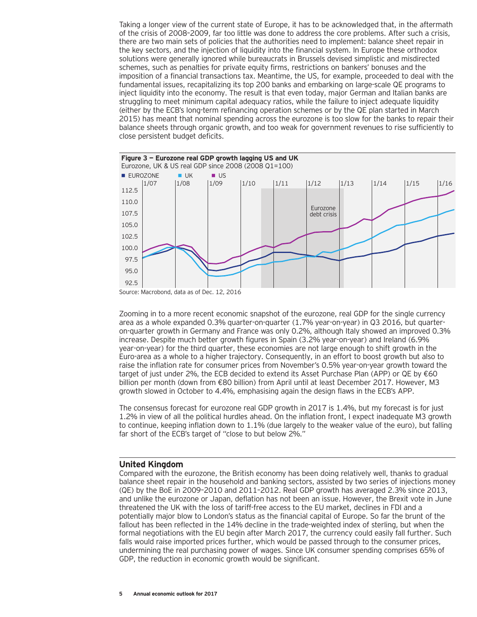Taking a longer view of the current state of Europe, it has to be acknowledged that, in the aftermath of the crisis of 2008–2009, far too little was done to address the core problems. After such a crisis, there are two main sets of policies that the authorities need to implement: balance sheet repair in the key sectors, and the injection of liquidity into the financial system. In Europe these orthodox solutions were generally ignored while bureaucrats in Brussels devised simplistic and misdirected schemes, such as penalties for private equity firms, restrictions on bankers' bonuses and the imposition of a financial transactions tax. Meantime, the US, for example, proceeded to deal with the fundamental issues, recapitalizing its top 200 banks and embarking on large-scale QE programs to inject liquidity into the economy. The result is that even today, major German and Italian banks are struggling to meet minimum capital adequacy ratios, while the failure to inject adequate liquidity (either by the ECB's long-term refinancing operation schemes or by the QE plan started in March 2015) has meant that nominal spending across the eurozone is too slow for the banks to repair their balance sheets through organic growth, and too weak for government revenues to rise sufficiently to close persistent budget deficits.



Source: Macrobond, data as of Dec. 12, 2016

Zooming in to a more recent economic snapshot of the eurozone, real GDP for the single currency area as a whole expanded 0.3% quarter-on-quarter (1.7% year-on-year) in Q3 2016, but quarteron-quarter growth in Germany and France was only 0.2%, although Italy showed an improved 0.3% increase. Despite much better growth figures in Spain (3.2% year-on-year) and Ireland (6.9% year-on-year) for the third quarter, these economies are not large enough to shift growth in the Euro-area as a whole to a higher trajectory. Consequently, in an effort to boost growth but also to raise the inflation rate for consumer prices from November's 0.5% year-on-year growth toward the target of just under 2%, the ECB decided to extend its Asset Purchase Plan (APP) or QE by €60 billion per month (down from €80 billion) from April until at least December 2017. However, M3 growth slowed in October to 4.4%, emphasising again the design flaws in the ECB's APP.

The consensus forecast for eurozone real GDP growth in 2017 is 1.4%, but my forecast is for just 1.2% in view of all the political hurdles ahead. On the inflation front, I expect inadequate M3 growth to continue, keeping inflation down to 1.1% (due largely to the weaker value of the euro), but falling far short of the ECB's target of "close to but below 2%."

# **United Kingdom**

Compared with the eurozone, the British economy has been doing relatively well, thanks to gradual balance sheet repair in the household and banking sectors, assisted by two series of injections money (QE) by the BoE in 2009–2010 and 2011–2012. Real GDP growth has averaged 2.3% since 2013, and unlike the eurozone or Japan, deflation has not been an issue. However, the Brexit vote in June threatened the UK with the loss of tariff-free access to the EU market, declines in FDI and a potentially major blow to London's status as the financial capital of Europe. So far the brunt of the fallout has been reflected in the 14% decline in the trade-weighted index of sterling, but when the formal negotiations with the EU begin after March 2017, the currency could easily fall further. Such falls would raise imported prices further, which would be passed through to the consumer prices, undermining the real purchasing power of wages. Since UK consumer spending comprises 65% of GDP, the reduction in economic growth would be significant.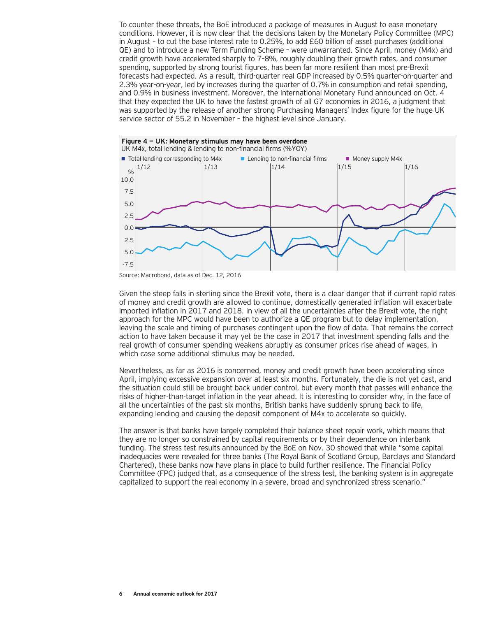To counter these threats, the BoE introduced a package of measures in August to ease monetary conditions. However, it is now clear that the decisions taken by the Monetary Policy Committee (MPC) in August – to cut the base interest rate to 0.25%, to add £60 billion of asset purchases (additional QE) and to introduce a new Term Funding Scheme – were unwarranted. Since April, money (M4x) and credit growth have accelerated sharply to 7–8%, roughly doubling their growth rates, and consumer spending, supported by strong tourist figures, has been far more resilient than most pre-Brexit forecasts had expected. As a result, third-quarter real GDP increased by 0.5% quarter-on-quarter and 2.3% year-on-year, led by increases during the quarter of 0.7% in consumption and retail spending, and 0.9% in business investment. Moreover, the International Monetary Fund announced on Oct. 4 that they expected the UK to have the fastest growth of all G7 economies in 2016, a judgment that was supported by the release of another strong Purchasing Managers' Index figure for the huge UK service sector of 55.2 in November – the highest level since January.



Source: Macrobond, data as of Dec. 12, 2016

Given the steep falls in sterling since the Brexit vote, there is a clear danger that if current rapid rates of money and credit growth are allowed to continue, domestically generated inflation will exacerbate imported inflation in 2017 and 2018. In view of all the uncertainties after the Brexit vote, the right approach for the MPC would have been to authorize a QE program but to delay implementation, leaving the scale and timing of purchases contingent upon the flow of data. That remains the correct action to have taken because it may yet be the case in 2017 that investment spending falls and the real growth of consumer spending weakens abruptly as consumer prices rise ahead of wages, in which case some additional stimulus may be needed.

Nevertheless, as far as 2016 is concerned, money and credit growth have been accelerating since April, implying excessive expansion over at least six months. Fortunately, the die is not yet cast, and the situation could still be brought back under control, but every month that passes will enhance the risks of higher-than-target inflation in the year ahead. It is interesting to consider why, in the face of all the uncertainties of the past six months, British banks have suddenly sprung back to life, expanding lending and causing the deposit component of M4x to accelerate so quickly.

The answer is that banks have largely completed their balance sheet repair work, which means that they are no longer so constrained by capital requirements or by their dependence on interbank funding. The stress test results announced by the BoE on Nov. 30 showed that while "some capital inadequacies were revealed for three banks (The Royal Bank of Scotland Group, Barclays and Standard Chartered), these banks now have plans in place to build further resilience. The Financial Policy Committee (FPC) judged that, as a consequence of the stress test, the banking system is in aggregate capitalized to support the real economy in a severe, broad and synchronized stress scenario."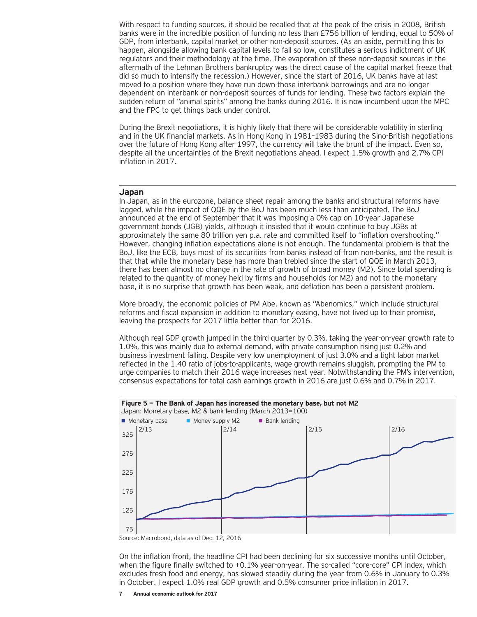With respect to funding sources, it should be recalled that at the peak of the crisis in 2008, British banks were in the incredible position of funding no less than £756 billion of lending, equal to 50% of GDP, from interbank, capital market or other non-deposit sources. (As an aside, permitting this to happen, alongside allowing bank capital levels to fall so low, constitutes a serious indictment of UK regulators and their methodology at the time. The evaporation of these non-deposit sources in the aftermath of the Lehman Brothers bankruptcy was the direct cause of the capital market freeze that did so much to intensify the recession.) However, since the start of 2016, UK banks have at last moved to a position where they have run down those interbank borrowings and are no longer dependent on interbank or non-deposit sources of funds for lending. These two factors explain the sudden return of "animal spirits" among the banks during 2016. It is now incumbent upon the MPC and the FPC to get things back under control.

During the Brexit negotiations, it is highly likely that there will be considerable volatility in sterling and in the UK financial markets. As in Hong Kong in 1981–1983 during the Sino-British negotiations over the future of Hong Kong after 1997, the currency will take the brunt of the impact. Even so, despite all the uncertainties of the Brexit negotiations ahead, I expect 1.5% growth and 2.7% CPI inflation in 2017.

## **Japan**

In Japan, as in the eurozone, balance sheet repair among the banks and structural reforms have lagged, while the impact of QQE by the BoJ has been much less than anticipated. The BoJ announced at the end of September that it was imposing a 0% cap on 10-year Japanese government bonds (JGB) yields, although it insisted that it would continue to buy JGBs at approximately the same 80 trillion yen p.a. rate and committed itself to "inflation overshooting." However, changing inflation expectations alone is not enough. The fundamental problem is that the BoJ, like the ECB, buys most of its securities from banks instead of from non-banks, and the result is that that while the monetary base has more than trebled since the start of QQE in March 2013, there has been almost no change in the rate of growth of broad money (M2). Since total spending is related to the quantity of money held by firms and households (or M2) and not to the monetary base, it is no surprise that growth has been weak, and deflation has been a persistent problem.

More broadly, the economic policies of PM Abe, known as "Abenomics," which include structural reforms and fiscal expansion in addition to monetary easing, have not lived up to their promise, leaving the prospects for 2017 little better than for 2016.

Although real GDP growth jumped in the third quarter by 0.3%, taking the year-on-year growth rate to 1.0%, this was mainly due to external demand, with private consumption rising just 0.2% and business investment falling. Despite very low unemployment of just 3.0% and a tight labor market reflected in the 1.40 ratio of jobs-to-applicants, wage growth remains sluggish, prompting the PM to urge companies to match their 2016 wage increases next year. Notwithstanding the PM's intervention, consensus expectations for total cash earnings growth in 2016 are just 0.6% and 0.7% in 2017.



On the inflation front, the headline CPI had been declining for six successive months until October, when the figure finally switched to +0.1% year-on-year. The so-called "core-core" CPI index, which excludes fresh food and energy, has slowed steadily during the year from 0.6% in January to 0.3% in October. I expect 1.0% real GDP growth and 0.5% consumer price inflation in 2017.

**7 Annual economic outlook for 2017**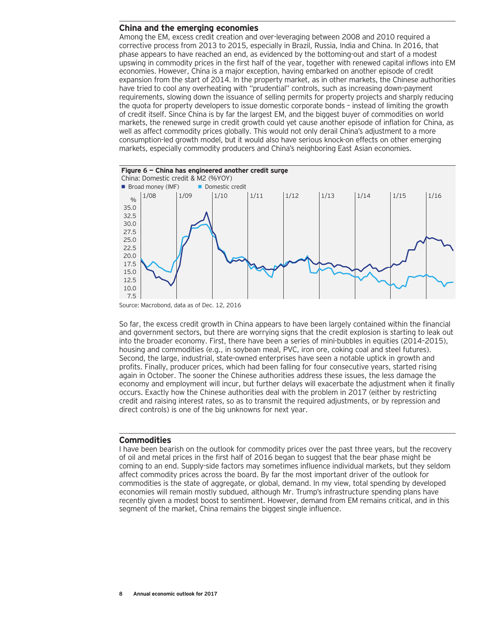# **China and the emerging economies**

Among the EM, excess credit creation and over-leveraging between 2008 and 2010 required a corrective process from 2013 to 2015, especially in Brazil, Russia, India and China. In 2016, that phase appears to have reached an end, as evidenced by the bottoming-out and start of a modest upswing in commodity prices in the first half of the year, together with renewed capital inflows into EM economies. However, China is a major exception, having embarked on another episode of credit expansion from the start of 2014. In the property market, as in other markets, the Chinese authorities have tried to cool any overheating with "prudential" controls, such as increasing down-payment requirements, slowing down the issuance of selling permits for property projects and sharply reducing the quota for property developers to issue domestic corporate bonds – instead of limiting the growth of credit itself. Since China is by far the largest EM, and the biggest buyer of commodities on world markets, the renewed surge in credit growth could yet cause another episode of inflation for China, as well as affect commodity prices globally. This would not only derail China's adjustment to a more consumption-led growth model, but it would also have serious knock-on effects on other emerging markets, especially commodity producers and China's neighboring East Asian economies.



Source: Macrobond, data as of Dec. 12, 2016

So far, the excess credit growth in China appears to have been largely contained within the financial and government sectors, but there are worrying signs that the credit explosion is starting to leak out into the broader economy. First, there have been a series of mini-bubbles in equities (2014–2015), housing and commodities (e.g., in soybean meal, PVC, iron ore, coking coal and steel futures). Second, the large, industrial, state-owned enterprises have seen a notable uptick in growth and profits. Finally, producer prices, which had been falling for four consecutive years, started rising again in October. The sooner the Chinese authorities address these issues, the less damage the economy and employment will incur, but further delays will exacerbate the adjustment when it finally occurs. Exactly how the Chinese authorities deal with the problem in 2017 (either by restricting credit and raising interest rates, so as to transmit the required adjustments, or by repression and direct controls) is one of the big unknowns for next year.

### **Commodities**

I have been bearish on the outlook for commodity prices over the past three years, but the recovery of oil and metal prices in the first half of 2016 began to suggest that the bear phase might be coming to an end. Supply-side factors may sometimes influence individual markets, but they seldom affect commodity prices across the board. By far the most important driver of the outlook for commodities is the state of aggregate, or global, demand. In my view, total spending by developed economies will remain mostly subdued, although Mr. Trump's infrastructure spending plans have recently given a modest boost to sentiment. However, demand from EM remains critical, and in this segment of the market, China remains the biggest single influence.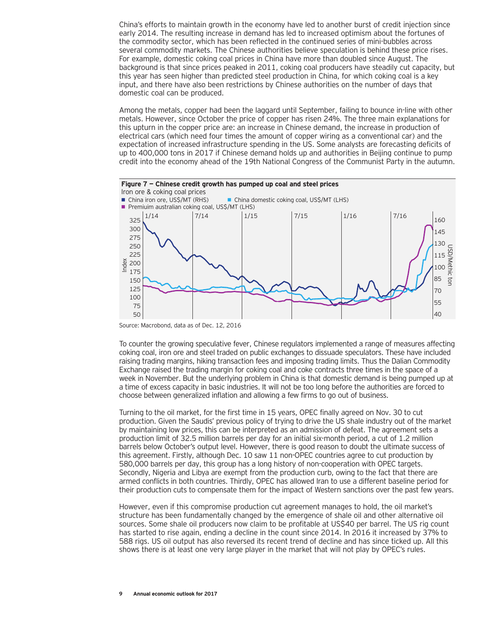China's efforts to maintain growth in the economy have led to another burst of credit injection since early 2014. The resulting increase in demand has led to increased optimism about the fortunes of the commodity sector, which has been reflected in the continued series of mini-bubbles across several commodity markets. The Chinese authorities believe speculation is behind these price rises. For example, domestic coking coal prices in China have more than doubled since August. The background is that since prices peaked in 2011, coking coal producers have steadily cut capacity, but this year has seen higher than predicted steel production in China, for which coking coal is a key input, and there have also been restrictions by Chinese authorities on the number of days that domestic coal can be produced.

Among the metals, copper had been the laggard until September, failing to bounce in-line with other metals. However, since October the price of copper has risen 24%. The three main explanations for this upturn in the copper price are: an increase in Chinese demand, the increase in production of electrical cars (which need four times the amount of copper wiring as a conventional car) and the expectation of increased infrastructure spending in the US. Some analysts are forecasting deficits of up to 400,000 tons in 2017 if Chinese demand holds up and authorities in Beijing continue to pump credit into the economy ahead of the 19th National Congress of the Communist Party in the autumn.



Source: Macrobond, data as of Dec. 12, 2016

To counter the growing speculative fever, Chinese regulators implemented a range of measures affecting coking coal, iron ore and steel traded on public exchanges to dissuade speculators. These have included raising trading margins, hiking transaction fees and imposing trading limits. Thus the Dalian Commodity Exchange raised the trading margin for coking coal and coke contracts three times in the space of a week in November. But the underlying problem in China is that domestic demand is being pumped up at a time of excess capacity in basic industries. It will not be too long before the authorities are forced to choose between generalized inflation and allowing a few firms to go out of business.

Turning to the oil market, for the first time in 15 years, OPEC finally agreed on Nov. 30 to cut production. Given the Saudis' previous policy of trying to drive the US shale industry out of the market by maintaining low prices, this can be interpreted as an admission of defeat. The agreement sets a production limit of 32.5 million barrels per day for an initial six-month period, a cut of 1.2 million barrels below October's output level. However, there is good reason to doubt the ultimate success of this agreement. Firstly, although Dec. 10 saw 11 non-OPEC countries agree to cut production by 580,000 barrels per day, this group has a long history of non-cooperation with OPEC targets. Secondly, Nigeria and Libya are exempt from the production curb, owing to the fact that there are armed conflicts in both countries. Thirdly, OPEC has allowed Iran to use a different baseline period for their production cuts to compensate them for the impact of Western sanctions over the past few years.

However, even if this compromise production cut agreement manages to hold, the oil market's structure has been fundamentally changed by the emergence of shale oil and other alternative oil sources. Some shale oil producers now claim to be profitable at US\$40 per barrel. The US rig count has started to rise again, ending a decline in the count since 2014. In 2016 it increased by 37% to 588 rigs. US oil output has also reversed its recent trend of decline and has since ticked up. All this shows there is at least one very large player in the market that will not play by OPEC's rules.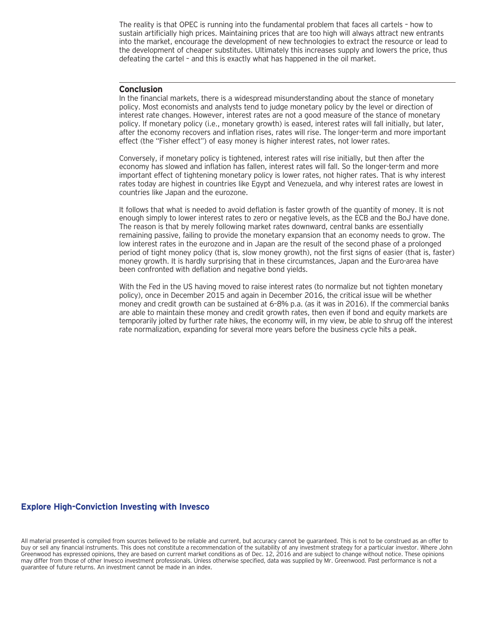The reality is that OPEC is running into the fundamental problem that faces all cartels – how to sustain artificially high prices. Maintaining prices that are too high will always attract new entrants into the market, encourage the development of new technologies to extract the resource or lead to the development of cheaper substitutes. Ultimately this increases supply and lowers the price, thus defeating the cartel – and this is exactly what has happened in the oil market.

# **Conclusion**

In the financial markets, there is a widespread misunderstanding about the stance of monetary policy. Most economists and analysts tend to judge monetary policy by the level or direction of interest rate changes. However, interest rates are not a good measure of the stance of monetary policy. If monetary policy (i.e., monetary growth) is eased, interest rates will fall initially, but later, after the economy recovers and inflation rises, rates will rise. The longer-term and more important effect (the "Fisher effect") of easy money is higher interest rates, not lower rates.

Conversely, if monetary policy is tightened, interest rates will rise initially, but then after the economy has slowed and inflation has fallen, interest rates will fall. So the longer-term and more important effect of tightening monetary policy is lower rates, not higher rates. That is why interest rates today are highest in countries like Egypt and Venezuela, and why interest rates are lowest in countries like Japan and the eurozone.

It follows that what is needed to avoid deflation is faster growth of the quantity of money. It is not enough simply to lower interest rates to zero or negative levels, as the ECB and the BoJ have done. The reason is that by merely following market rates downward, central banks are essentially remaining passive, failing to provide the monetary expansion that an economy needs to grow. The low interest rates in the eurozone and in Japan are the result of the second phase of a prolonged period of tight money policy (that is, slow money growth), not the first signs of easier (that is, faster) money growth. It is hardly surprising that in these circumstances, Japan and the Euro-area have been confronted with deflation and negative bond yields.

With the Fed in the US having moved to raise interest rates (to normalize but not tighten monetary policy), once in December 2015 and again in December 2016, the critical issue will be whether money and credit growth can be sustained at 6–8% p.a. (as it was in 2016). If the commercial banks are able to maintain these money and credit growth rates, then even if bond and equity markets are temporarily jolted by further rate hikes, the economy will, in my view, be able to shrug off the interest rate normalization, expanding for several more years before the business cycle hits a peak.

# **Explore High-Conviction Investing with Invesco**

All material presented is compiled from sources believed to be reliable and current, but accuracy cannot be guaranteed. This is not to be construed as an offer to buy or sell any financial instruments. This does not constitute a recommendation of the suitability of any investment strategy for a particular investor. Where John Greenwood has expressed opinions, they are based on current market conditions as of Dec. 12, 2016 and are subject to change without notice. These opinions may differ from those of other Invesco investment professionals. Unless otherwise specified, data was supplied by Mr. Greenwood. Past performance is not a guarantee of future returns. An investment cannot be made in an index.